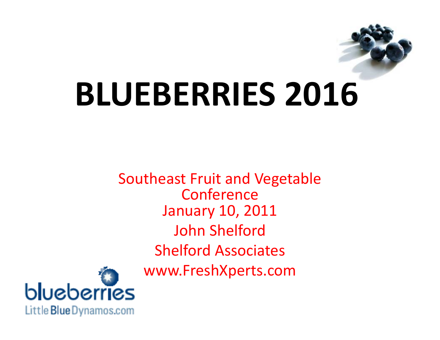

# **BLUEBERRIES 2016**

Southeast Fruit and Vegetable Conference January 10, 2011 John Shelford Shelford Associates www.FreshXperts.com

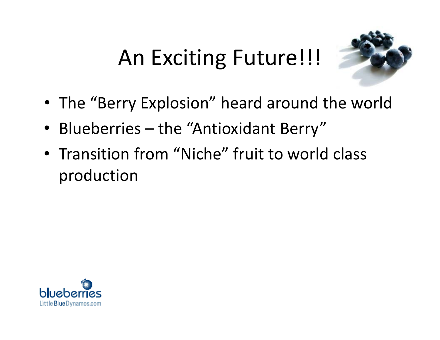

- The "Berry Explosion" heard around the world
- Blueberries the "Antioxidant Berry"
- Transition from "Niche" fruit to world class production

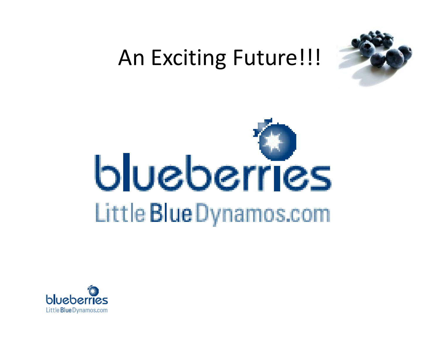



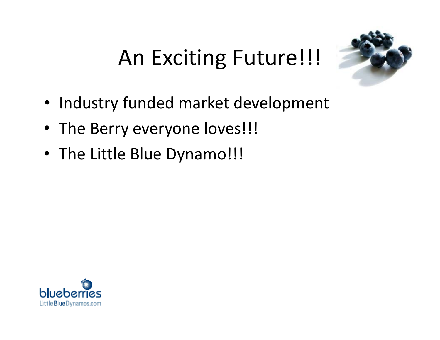

- Industry funded market development
- The Berry everyone loves!!!
- The Little Blue Dynamo!!!

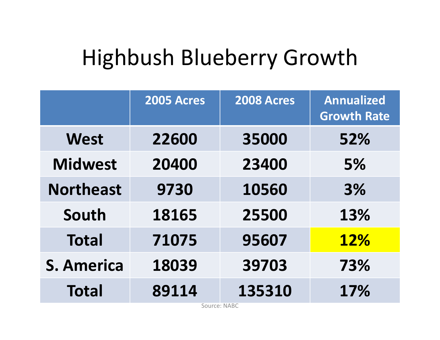#### Highbush Blueberry Growth

|                   | <b>2005 Acres</b> | <b>2008 Acres</b> | <b>Annualized</b><br><b>Growth Rate</b> |
|-------------------|-------------------|-------------------|-----------------------------------------|
| <b>West</b>       | 22600             | 35000             | 52%                                     |
| <b>Midwest</b>    | 20400             | 23400             | 5%                                      |
| <b>Northeast</b>  | 9730              | 10560             | 3%                                      |
| South             | 18165             | 25500             | 13%                                     |
| <b>Total</b>      | 71075             | 95607             | <b>12%</b>                              |
| <b>S. America</b> | 18039             | 39703             | 73%                                     |
| <b>Total</b>      | 89114             | 135310            | 17%                                     |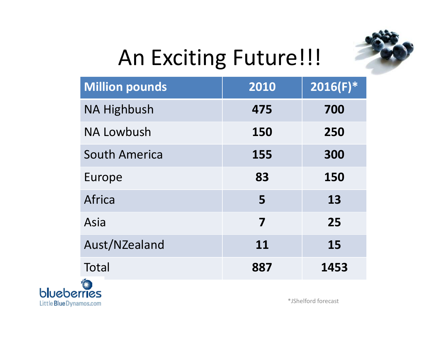

| <b>Million pounds</b>    | 2010 | $2016(F)^*$ |
|--------------------------|------|-------------|
| <b>NA Highbush</b>       | 475  | 700         |
| <b>NA Lowbush</b>        | 150  | 250         |
| <b>South America</b>     | 155  | 300         |
| Europe                   | 83   | 150         |
| Africa                   | 5    | 13          |
| Asia                     | 7    | 25          |
| Aust/NZealand            | 11   | 15          |
| Total                    | 887  | 1453        |
| <b>The Second Second</b> |      |             |



\*JShelford forecast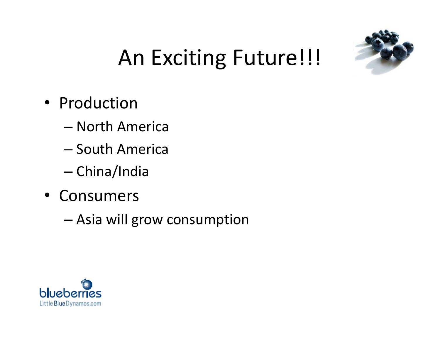

- Production
	- North America
	- South America
	- China/India
- Consumers
	- Asia will grow consumption

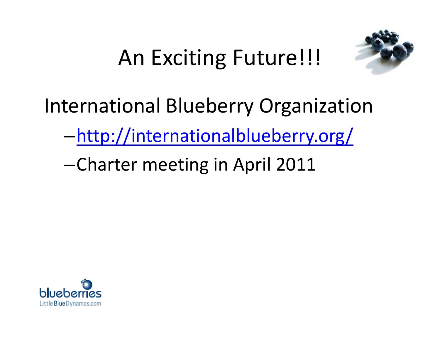

International Blueberry Organization

–<http://internationalblueberry.org/>

–Charter meeting in April 2011

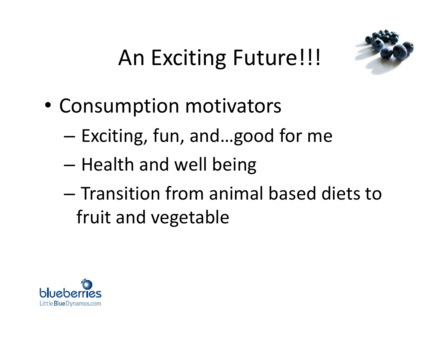

- Consumption motivators
	- Exciting, fun, and…good for me
	- Health and well being
	- Transition from animal based diets to fruit and vegetable

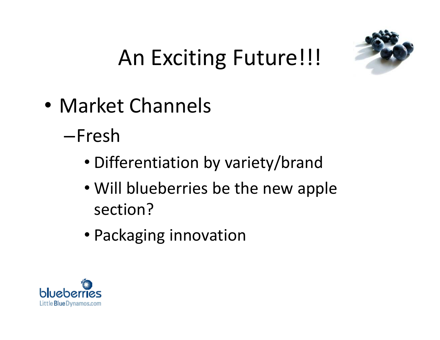

- Market Channels
	- –Fresh
		- Differentiation by variety/brand
		- Will blueberries be the new apple section?
		- Packaging innovation

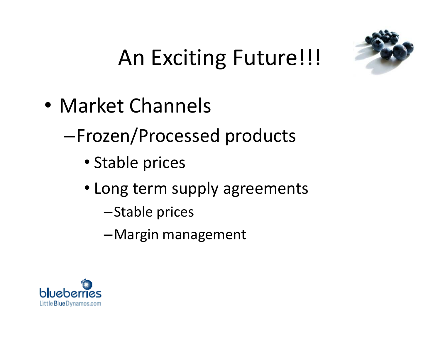

- Market Channels
	- –Frozen/Processed products
		- Stable prices
		- Long term supply agreements
			- –Stable prices
			- –Margin management

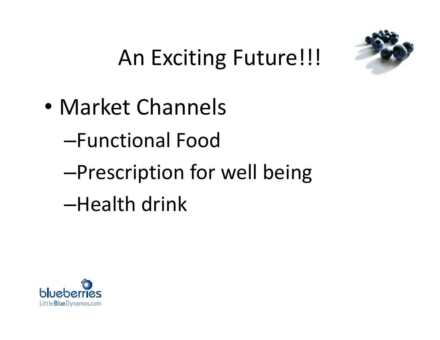

- Market Channels
	- –Functional Food
	- –Prescription for well being –Health drink

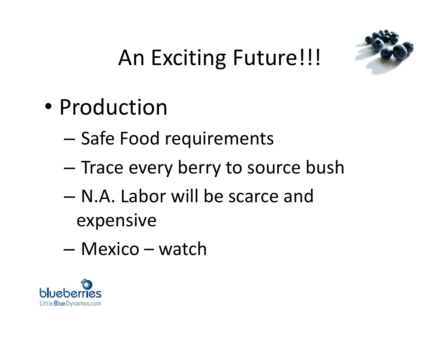

- Production
	- Safe Food requirements
	- Trace every berry to source bush
	- N.A. Labor will be scarce and expensive
	- Mexico watch

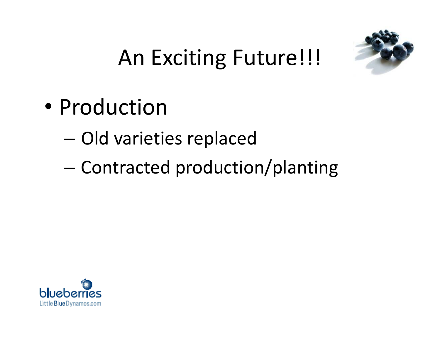

- Production
	- Old varieties replaced
	- Contracted production/planting

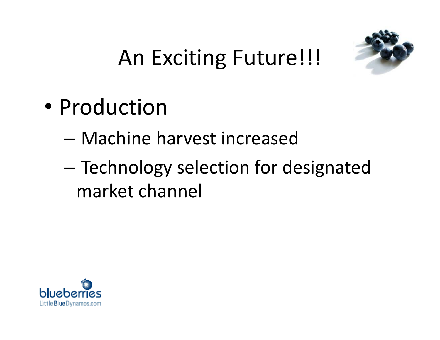

- Production
	- Machine harvest increased
	- Technology selection for designated market channel

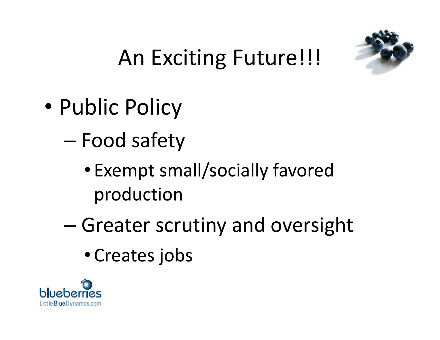

- Public Policy
	- Food safety
		- Exempt small/socially favored production
	- Greater scrutiny and oversight
		- Creates jobs

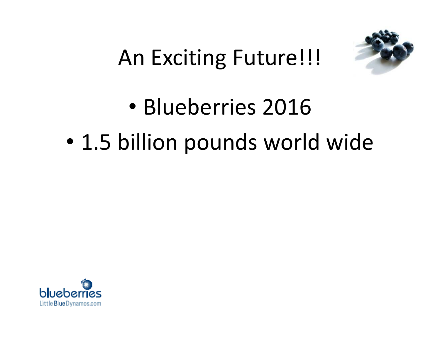

# • Blueberries 2016 • 1.5 billion pounds world wide

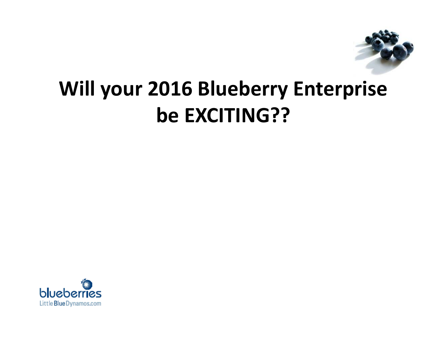

#### **Will your 2016 Blueberry Enterprise be EXCITING??**

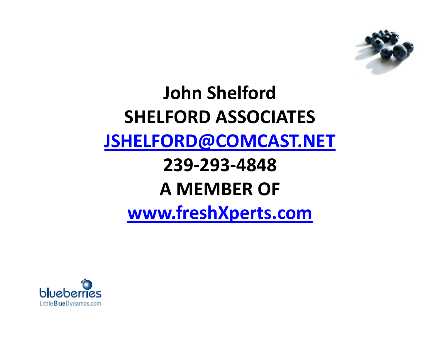

#### **John Shelford SHELFORD ASSOCIATES [JSHELFORD@COMCAST.NET](mailto:JSHELFORD@COMCAST.NET) 239Ͳ293Ͳ4848 A MEMBER OF [www.freshXperts.com](http://www.freshxperts.com/)**